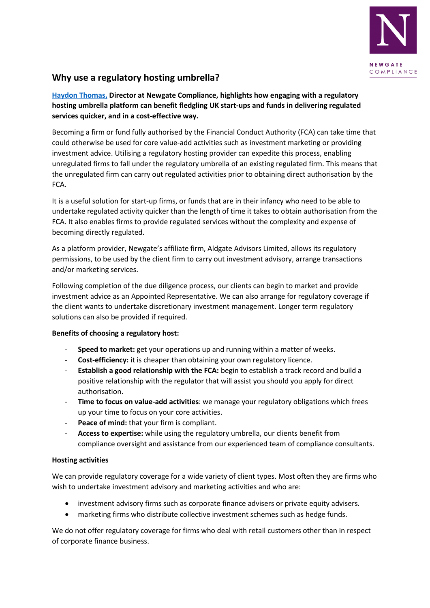

## **Why use a regulatory hosting umbrella?**

**[Haydon Thomas,](http://newgatecompliance.com/haydon-thomas) Director at Newgate Compliance, highlights how engaging with a regulatory hosting umbrella platform can benefit fledgling UK start-ups and funds in delivering regulated services quicker, and in a cost-effective way.** 

Becoming a firm or fund fully authorised by the Financial Conduct Authority (FCA) can take time that could otherwise be used for core value-add activities such as investment marketing or providing investment advice. Utilising a regulatory hosting provider can expedite this process, enabling unregulated firms to fall under the regulatory umbrella of an existing regulated firm. This means that the unregulated firm can carry out regulated activities prior to obtaining direct authorisation by the FCA.

It is a useful solution for start-up firms, or funds that are in their infancy who need to be able to undertake regulated activity quicker than the length of time it takes to obtain authorisation from the FCA. It also enables firms to provide regulated services without the complexity and expense of becoming directly regulated.

As a platform provider, Newgate's affiliate firm, Aldgate Advisors Limited, allows its regulatory permissions, to be used by the client firm to carry out investment advisory, arrange transactions and/or marketing services.

Following completion of the due diligence process, our clients can begin to market and provide investment advice as an Appointed Representative. We can also arrange for regulatory coverage if the client wants to undertake discretionary investment management. Longer term regulatory solutions can also be provided if required.

## **Benefits of choosing a regulatory host:**

- **Speed to market:** get your operations up and running within a matter of weeks.
- **Cost-efficiency:** it is cheaper than obtaining your own regulatory licence.
- **Establish a good relationship with the FCA:** begin to establish a track record and build a positive relationship with the regulator that will assist you should you apply for direct authorisation.
- **Time to focus on value-add activities**: we manage your regulatory obligations which frees up your time to focus on your core activities.
- **Peace of mind:** that your firm is compliant.
- **Access to expertise:** while using the regulatory umbrella, our clients benefit from compliance oversight and assistance from our experienced team of compliance consultants.

## **Hosting activities**

We can provide regulatory coverage for a wide variety of client types. Most often they are firms who wish to undertake investment advisory and marketing activities and who are:

- investment advisory firms such as corporate finance advisers or private equity advisers.
- marketing firms who distribute collective investment schemes such as hedge funds.

We do not offer regulatory coverage for firms who deal with retail customers other than in respect of corporate finance business.